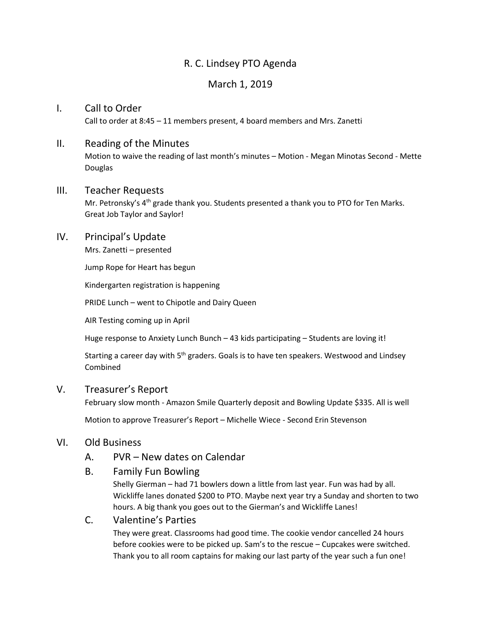# R. C. Lindsey PTO Agenda

## March 1, 2019

#### I. Call to Order

Call to order at 8:45 – 11 members present, 4 board members and Mrs. Zanetti

#### II. Reading of the Minutes

Motion to waive the reading of last month's minutes – Motion - Megan Minotas Second - Mette Douglas

#### III. Teacher Requests

Mr. Petronsky's 4<sup>th</sup> grade thank you. Students presented a thank you to PTO for Ten Marks. Great Job Taylor and Saylor!

#### IV. Principal's Update

Mrs. Zanetti – presented

Jump Rope for Heart has begun

Kindergarten registration is happening

PRIDE Lunch – went to Chipotle and Dairy Queen

AIR Testing coming up in April

Huge response to Anxiety Lunch Bunch – 43 kids participating – Students are loving it!

Starting a career day with 5<sup>th</sup> graders. Goals is to have ten speakers. Westwood and Lindsey Combined

#### V. Treasurer's Report

February slow month - Amazon Smile Quarterly deposit and Bowling Update \$335. All is well

Motion to approve Treasurer's Report – Michelle Wiece - Second Erin Stevenson

#### VI. Old Business

A. PVR – New dates on Calendar

#### B. Family Fun Bowling

Shelly Gierman – had 71 bowlers down a little from last year. Fun was had by all. Wickliffe lanes donated \$200 to PTO. Maybe next year try a Sunday and shorten to two hours. A big thank you goes out to the Gierman's and Wickliffe Lanes!

### C. Valentine's Parties

They were great. Classrooms had good time. The cookie vendor cancelled 24 hours before cookies were to be picked up. Sam's to the rescue – Cupcakes were switched. Thank you to all room captains for making our last party of the year such a fun one!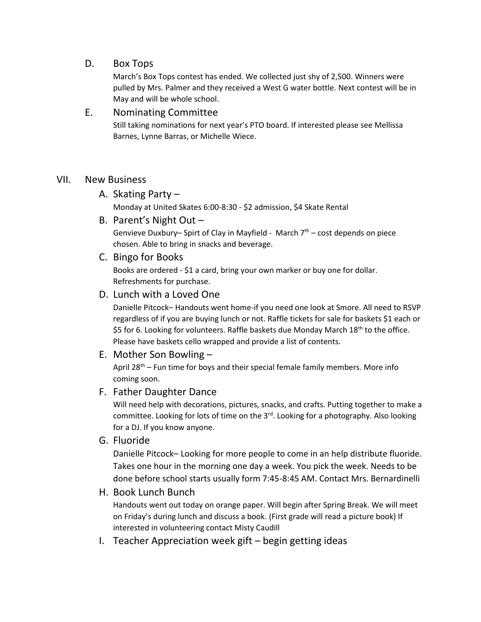### D. Box Tops

March's Box Tops contest has ended. We collected just shy of 2,500. Winners were pulled by Mrs. Palmer and they received a West G water bottle. Next contest will be in May and will be whole school.

### E. Nominating Committee

Still taking nominations for next year's PTO board. If interested please see Mellissa Barnes, Lynne Barras, or Michelle Wiece.

#### VII. New Business

A. Skating Party –

Monday at United Skates 6:00-8:30 - \$2 admission, \$4 Skate Rental

B. Parent's Night Out –

Genvieve Duxbury- Spirt of Clay in Mayfield - March 7<sup>th</sup> - cost depends on piece chosen. Able to bring in snacks and beverage.

C. Bingo for Books

Books are ordered - \$1 a card, bring your own marker or buy one for dollar. Refreshments for purchase.

## D. Lunch with a Loved One

Danielle Pitcock– Handouts went home-if you need one look at Smore. All need to RSVP regardless of if you are buying lunch or not. Raffle tickets for sale for baskets \$1 each or \$5 for 6. Looking for volunteers. Raffle baskets due Monday March 18<sup>th</sup> to the office. Please have baskets cello wrapped and provide a list of contents.

E. Mother Son Bowling –

April  $28<sup>th</sup>$  – Fun time for boys and their special female family members. More info coming soon.

## F. Father Daughter Dance

Will need help with decorations, pictures, snacks, and crafts. Putting together to make a committee. Looking for lots of time on the 3<sup>rd</sup>. Looking for a photography. Also looking for a DJ. If you know anyone.

G. Fluoride

Danielle Pitcock– Looking for more people to come in an help distribute fluoride. Takes one hour in the morning one day a week. You pick the week. Needs to be done before school starts usually form 7:45-8:45 AM. Contact Mrs. Bernardinelli

H. Book Lunch Bunch

Handouts went out today on orange paper. Will begin after Spring Break. We will meet on Friday's during lunch and discuss a book. (First grade will read a picture book) If interested in volunteering contact Misty Caudill

I. Teacher Appreciation week gift – begin getting ideas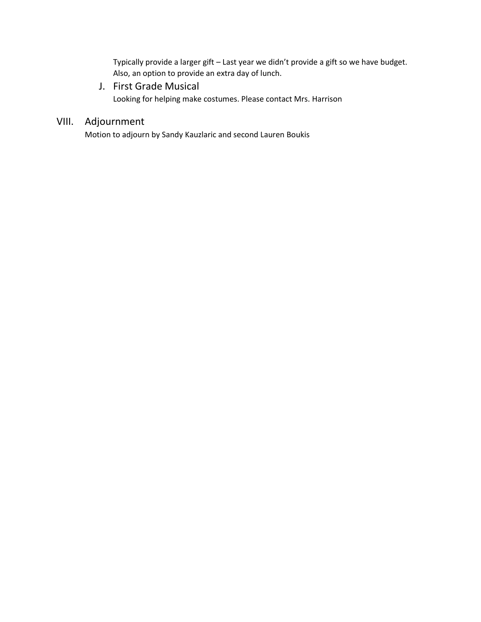Typically provide a larger gift – Last year we didn't provide a gift so we have budget. Also, an option to provide an extra day of lunch.

J. First Grade Musical Looking for helping make costumes. Please contact Mrs. Harrison

# VIII. Adjournment

Motion to adjourn by Sandy Kauzlaric and second Lauren Boukis